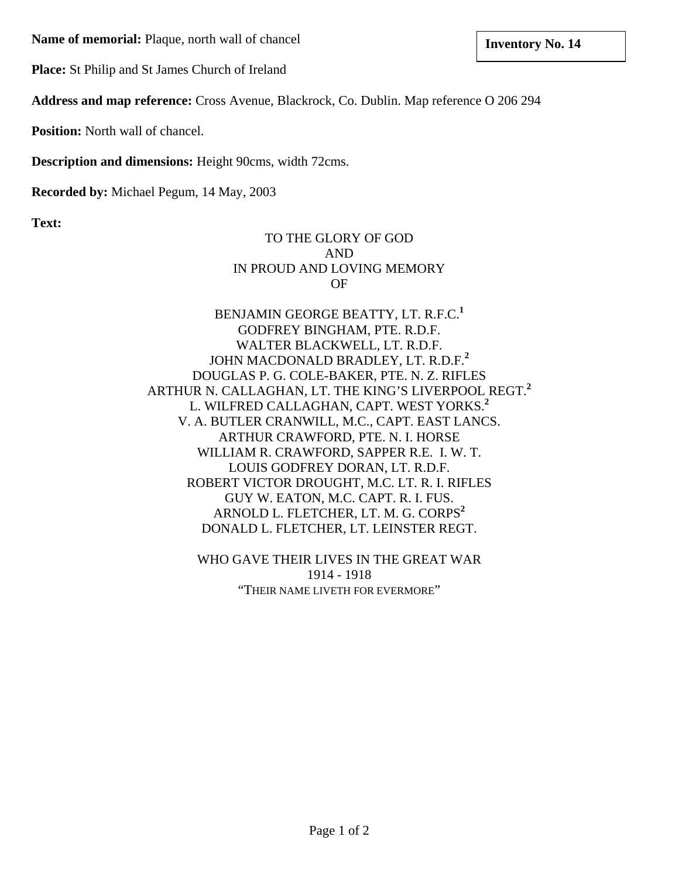**Name of memorial:** Plaque, north wall of chancel **inventory No. 14 language language language language language language language language language language language language language language** 

**Place:** St Philip and St James Church of Ireland

**Address and map reference:** Cross Avenue, Blackrock, Co. Dublin. Map reference O 206 294

**Position:** North wall of chancel.

**Description and dimensions:** Height 90cms, width 72cms.

**Recorded by:** Michael Pegum, 14 May, 2003

**Text:**

## TO THE GLORY OF GOD AND IN PROUD AND LOVING MEMORY OF

BENJAMIN GEORGE BEATTY, LT. R.F.C.**<sup>1</sup>** GODFREY BINGHAM, PTE. R.D.F. WALTER BLACKWELL, LT. R.D.F. JOHN MACDONALD BRADLEY, LT. R.D.F.**<sup>2</sup>** DOUGLAS P. G. COLE-BAKER, PTE. N. Z. RIFLES ARTHUR N. CALLAGHAN, LT. THE KING'S LIVERPOOL REGT.**<sup>2</sup>** L. WILFRED CALLAGHAN, CAPT. WEST YORKS.**<sup>2</sup>** V. A. BUTLER CRANWILL, M.C., CAPT. EAST LANCS. ARTHUR CRAWFORD, PTE. N. I. HORSE WILLIAM R. CRAWFORD, SAPPER R.E. I. W. T. LOUIS GODFREY DORAN, LT. R.D.F. ROBERT VICTOR DROUGHT, M.C. LT. R. I. RIFLES GUY W. EATON, M.C. CAPT. R. I. FUS. ARNOLD L. FLETCHER, LT. M. G. CORPS<sup>2</sup> DONALD L. FLETCHER, LT. LEINSTER REGT.

> WHO GAVE THEIR LIVES IN THE GREAT WAR 1914 - 1918 "THEIR NAME LIVETH FOR EVERMORE"